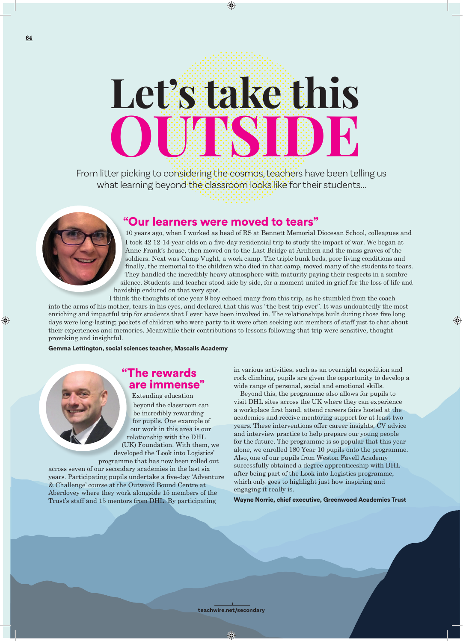# **Let's take this OUSSIDE**

⊕

From litter picking to considering the cosmos, teachers have been telling us what learning beyond the classroom looks like for their students...



## "Our learners were moved to tears"

10 years ago, when I worked as head of RS at Bennett Memorial Diocesan School, colleagues and I took 42 12-14-year olds on a five-day residential trip to study the impact of war. We began at Anne Frank's house, then moved on to the Last Bridge at Arnhem and the mass graves of the soldiers. Next was Camp Vught, a work camp. The triple bunk beds, poor living conditions and finally, the memorial to the children who died in that camp, moved many of the students to tears. They handled the incredibly heavy atmosphere with maturity paying their respects in a sombre silence. Students and teacher stood side by side, for a moment united in grief for the loss of life and hardship endured on that very spot.

I think the thoughts of one year 9 boy echoed many from this trip, as he stumbled from the coach into the arms of his mother, tears in his eyes, and declared that this was "the best trip ever". It was undoubtedly the most enriching and impactful trip for students that I ever have been involved in. The relationships built during those five long days were long-lasting; pockets of children who were party to it were often seeking out members of staff just to chat about their experiences and memories. Meanwhile their contributions to lessons following that trip were sensitive, thought provoking and insightful.

Gemma Lettington, social sciences teacher, Mascalls Academy

# "The rewards are immense"

Extending education beyond the classroom can be incredibly rewarding for pupils. One example of our work in this area is our relationship with the DHL (UK) Foundation. With them, we developed the 'Look into Logistics'

programme that has now been rolled out across seven of our secondary academies in the last six years. Participating pupils undertake a five-day 'Adventure & Challenge' course at the Outward Bound Centre at Aberdovey where they work alongside 15 members of the Trust's staff and 15 mentors from DHL. By participating

in various activities, such as an overnight expedition and rock climbing, pupils are given the opportunity to develop a wide range of personal, social and emotional skills.

⊕

Beyond this, the programme also allows for pupils to visit DHL sites across the UK where they can experience a workplace first hand, attend careers fairs hosted at the academies and receive mentoring support for at least two years. These interventions offer career insights, CV advice and interview practice to help prepare our young people for the future. The programme is so popular that this year alone, we enrolled 180 Year 10 pupils onto the programme. Also, one of our pupils from Weston Favell Academy successfully obtained a degree apprenticeship with DHL after being part of the Look into Logistics programme, which only goes to highlight just how inspiring and engaging it really is.

Wayne Norrie, chief executive, Greenwood Academies Trust

**teachwire.net/secondary**

O

⊕